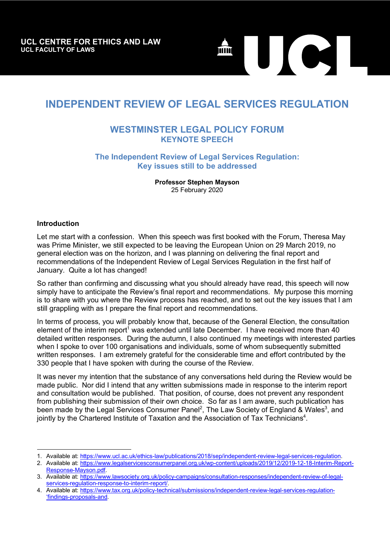

# **INDEPENDENT REVIEW OF LEGAL SERVICES REGULATION**

## **WESTMINSTER LEGAL POLICY FORUM KEYNOTE SPEECH**

## **The Independent Review of Legal Services Regulation: Key issues still to be addressed**

**Professor Stephen Mayson** 25 February 2020

#### **Introduction**

l

Let me start with a confession. When this speech was first booked with the Forum, Theresa May was Prime Minister, we still expected to be leaving the European Union on 29 March 2019, no general election was on the horizon, and I was planning on delivering the final report and recommendations of the Independent Review of Legal Services Regulation in the first half of January. Quite a lot has changed!

So rather than confirming and discussing what you should already have read, this speech will now simply have to anticipate the Review's final report and recommendations. My purpose this morning is to share with you where the Review process has reached, and to set out the key issues that I am still grappling with as I prepare the final report and recommendations.

In terms of process, you will probably know that, because of the General Election, the consultation element of the interim report<sup>1</sup> was extended until late December. I have received more than 40 detailed written responses. During the autumn, I also continued my meetings with interested parties when I spoke to over 100 organisations and individuals, some of whom subsequently submitted written responses. I am extremely grateful for the considerable time and effort contributed by the 330 people that I have spoken with during the course of the Review.

It was never my intention that the substance of any conversations held during the Review would be made public. Nor did I intend that any written submissions made in response to the interim report and consultation would be published. That position, of course, does not prevent any respondent from publishing their submission of their own choice. So far as I am aware, such publication has been made by the Legal Services Consumer Panel<sup>2</sup>, The Law Society of England & Wales<sup>3</sup>, and jointly by the Chartered Institute of Taxation and the Association of Tax Technicians<sup>4</sup>.

<sup>1.</sup> Available at: https://www.ucl.ac.uk/ethics-law/publications/2018/sep/independent-review-legal-services-regulation.

<sup>2.</sup> Available at: https://www.legalservicesconsumerpanel.org.uk/wp-content/uploads/2019/12/2019-12-18-Interim-Report-Response-Mayson.pdf.

<sup>3.</sup> Available at: https://www.lawsociety.org.uk/policy-campaigns/consultation-responses/independent-review-of-legalservices-regulation-response-to-interim-report/.

<sup>4.</sup> Available at: https://www.tax.org.uk/policy-technical/submissions/independent-review-legal-services-regulation- 'findings-proposals-and.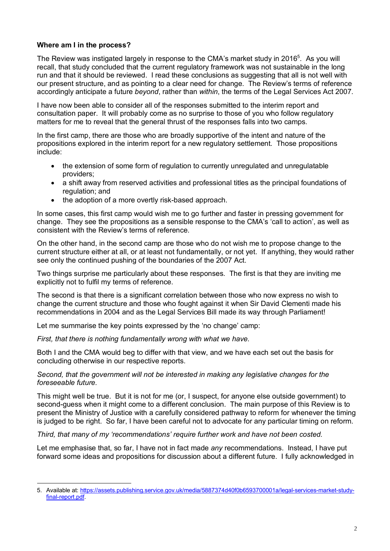### **Where am I in the process?**

The Review was instigated largely in response to the CMA's market study in 2016<sup>5</sup>. As you will recall, that study concluded that the current regulatory framework was not sustainable in the long run and that it should be reviewed. I read these conclusions as suggesting that all is not well with our present structure, and as pointing to a clear need for change. The Review's terms of reference accordingly anticipate a future *beyond*, rather than *within*, the terms of the Legal Services Act 2007.

I have now been able to consider all of the responses submitted to the interim report and consultation paper. It will probably come as no surprise to those of you who follow regulatory matters for me to reveal that the general thrust of the responses falls into two camps.

In the first camp, there are those who are broadly supportive of the intent and nature of the propositions explored in the interim report for a new regulatory settlement. Those propositions include:

- the extension of some form of regulation to currently unregulated and unregulatable providers;
- a shift away from reserved activities and professional titles as the principal foundations of regulation; and
- the adoption of a more overtly risk-based approach.

In some cases, this first camp would wish me to go further and faster in pressing government for change. They see the propositions as a sensible response to the CMA's 'call to action', as well as consistent with the Review's terms of reference.

On the other hand, in the second camp are those who do not wish me to propose change to the current structure either at all, or at least not fundamentally, or not yet. If anything, they would rather see only the continued pushing of the boundaries of the 2007 Act.

Two things surprise me particularly about these responses. The first is that they are inviting me explicitly not to fulfil my terms of reference.

The second is that there is a significant correlation between those who now express no wish to change the current structure and those who fought against it when Sir David Clementi made his recommendations in 2004 and as the Legal Services Bill made its way through Parliament!

Let me summarise the key points expressed by the 'no change' camp:

*First, that there is nothing fundamentally wrong with what we have.* 

Both I and the CMA would beg to differ with that view, and we have each set out the basis for concluding otherwise in our respective reports.

*Second, that the government will not be interested in making any legislative changes for the foreseeable future.*

This might well be true. But it is not for me (or, I suspect, for anyone else outside government) to second-guess when it might come to a different conclusion. The main purpose of this Review is to present the Ministry of Justice with a carefully considered pathway to reform for whenever the timing is judged to be right. So far, I have been careful not to advocate for any particular timing on reform.

*Third, that many of my 'recommendations' require further work and have not been costed.* 

Let me emphasise that, so far, I have not in fact made *any* recommendations. Instead, I have put forward some ideas and propositions for discussion about a different future. I fully acknowledged in

l 5. Available at: https://assets.publishing.service.gov.uk/media/5887374d40f0b6593700001a/legal-services-market-studyfinal-report.pdf.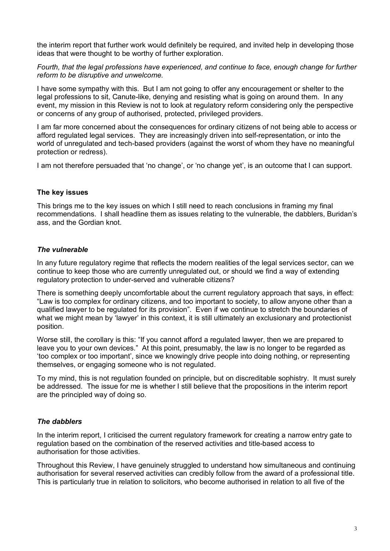the interim report that further work would definitely be required, and invited help in developing those ideas that were thought to be worthy of further exploration.

*Fourth, that the legal professions have experienced, and continue to face, enough change for further reform to be disruptive and unwelcome.*

I have some sympathy with this. But I am not going to offer any encouragement or shelter to the legal professions to sit, Canute-like, denying and resisting what is going on around them. In any event, my mission in this Review is not to look at regulatory reform considering only the perspective or concerns of any group of authorised, protected, privileged providers.

I am far more concerned about the consequences for ordinary citizens of not being able to access or afford regulated legal services. They are increasingly driven into self-representation, or into the world of unregulated and tech-based providers (against the worst of whom they have no meaningful protection or redress).

I am not therefore persuaded that 'no change', or 'no change yet', is an outcome that I can support.

#### **The key issues**

This brings me to the key issues on which I still need to reach conclusions in framing my final recommendations. I shall headline them as issues relating to the vulnerable, the dabblers, Buridan's ass, and the Gordian knot.

#### *The vulnerable*

In any future regulatory regime that reflects the modern realities of the legal services sector, can we continue to keep those who are currently unregulated out, or should we find a way of extending regulatory protection to under-served and vulnerable citizens?

There is something deeply uncomfortable about the current regulatory approach that says, in effect: "Law is too complex for ordinary citizens, and too important to society, to allow anyone other than a qualified lawyer to be regulated for its provision". Even if we continue to stretch the boundaries of what we might mean by 'lawyer' in this context, it is still ultimately an exclusionary and protectionist position.

Worse still, the corollary is this: "If you cannot afford a regulated lawyer, then we are prepared to leave you to your own devices." At this point, presumably, the law is no longer to be regarded as 'too complex or too important', since we knowingly drive people into doing nothing, or representing themselves, or engaging someone who is not regulated.

To my mind, this is not regulation founded on principle, but on discreditable sophistry. It must surely be addressed. The issue for me is whether I still believe that the propositions in the interim report are the principled way of doing so.

#### *The dabblers*

In the interim report, I criticised the current regulatory framework for creating a narrow entry gate to regulation based on the combination of the reserved activities and title-based access to authorisation for those activities.

Throughout this Review, I have genuinely struggled to understand how simultaneous and continuing authorisation for several reserved activities can credibly follow from the award of a professional title. This is particularly true in relation to solicitors, who become authorised in relation to all five of the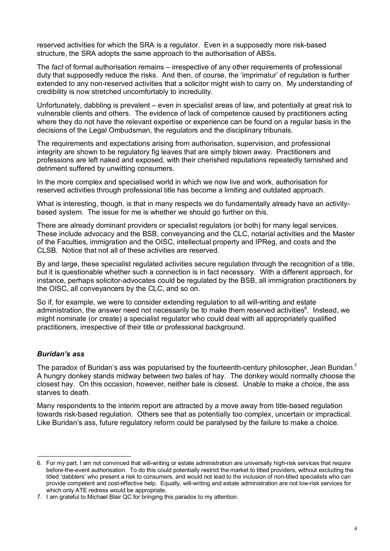reserved activities for which the SRA is a regulator. Even in a supposedly more risk-based structure, the SRA adopts the same approach to the authorisation of ABSs.

The *fact* of formal authorisation remains – irrespective of any other requirements of professional duty that supposedly reduce the risks. And then, of course, the 'imprimatur' of regulation is further extended to any non-reserved activities that a solicitor might wish to carry on. My understanding of credibility is now stretched uncomfortably to incredulity.

Unfortunately, dabbling is prevalent – even in specialist areas of law, and potentially at great risk to vulnerable clients and others. The evidence of lack of competence caused by practitioners acting where they do not have the relevant expertise or experience can be found on a regular basis in the decisions of the Legal Ombudsman, the regulators and the disciplinary tribunals.

The requirements and expectations arising from authorisation, supervision, and professional integrity are shown to be regulatory fig leaves that are simply blown away. Practitioners and professions are left naked and exposed, with their cherished reputations repeatedly tarnished and detriment suffered by unwitting consumers.

In the more complex and specialised world in which we now live and work, authorisation for reserved activities through professional title has become a limiting and outdated approach.

What is interesting, though, is that in many respects we do fundamentally already have an activitybased system. The issue for me is whether we should go further on this.

There are already dominant providers or specialist regulators (or both) for many legal services. These include advocacy and the BSB, conveyancing and the CLC, notarial activities and the Master of the Faculties, immigration and the OISC, intellectual property and IPReg, and costs and the CLSB. Notice that not all of these activities are reserved.

By and large, these specialist regulated activities secure regulation through the recognition of a title, but it is questionable whether such a connection is in fact necessary. With a different approach, for instance, perhaps solicitor-advocates could be regulated by the BSB, all immigration practitioners by the OISC, all conveyancers by the CLC, and so on.

So if, for example, we were to consider extending regulation to all will-writing and estate administration, the answer need not necessarily be to make them reserved activities<sup>6</sup>. Instead, we might nominate (or create) a specialist regulator who could deal with all appropriately qualified practitioners, irrespective of their title or professional background.

#### *Buridan's ass*

The paradox of Buridan's ass was popularised by the fourteenth-century philosopher, Jean Buridan.<sup>7</sup> A hungry donkey stands midway between two bales of hay. The donkey would normally choose the closest hay. On this occasion, however, neither bale is closest. Unable to make a choice, the ass starves to death.

Many respondents to the interim report are attracted by a move away from title-based regulation towards risk-based regulation. Others see that as potentially too complex, uncertain or impractical. Like Buridan's ass, future regulatory reform could be paralysed by the failure to make a choice.

l 6. For my part, I am not convinced that will-writing or estate administration are universally high-risk services that require before-the-event authorisation. To do this could potentially restrict the market to titled providers, without excluding the titled 'dabblers' who present a risk to consumers, and would not lead to the inclusion of non-titled specialists who can provide competent and cost-effective help. Equally, will-writing and estate administration are not low-risk services for which only ATE redress would be appropriate.

<sup>7.</sup> I am grateful to Michael Blair QC for bringing this paradox to my attention.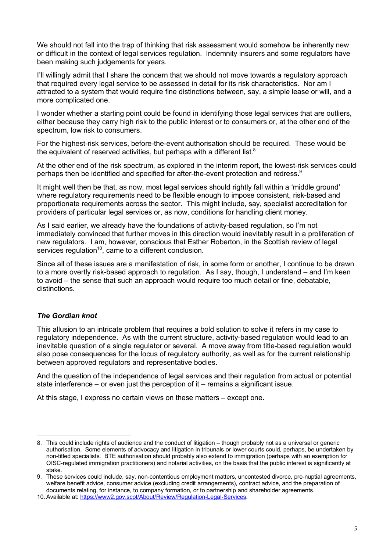We should not fall into the trap of thinking that risk assessment would somehow be inherently new or difficult in the context of legal services regulation. Indemnity insurers and some regulators have been making such judgements for years.

I'll willingly admit that I share the concern that we should not move towards a regulatory approach that required every legal service to be assessed in detail for its risk characteristics. Nor am I attracted to a system that would require fine distinctions between, say, a simple lease or will, and a more complicated one.

I wonder whether a starting point could be found in identifying those legal services that are outliers, either because they carry high risk to the public interest or to consumers or, at the other end of the spectrum, low risk to consumers.

For the highest-risk services, before-the-event authorisation should be required. These would be the equivalent of reserved activities, but perhaps with a different list. $8$ 

At the other end of the risk spectrum, as explored in the interim report, the lowest-risk services could perhaps then be identified and specified for after-the-event protection and redress. $9$ 

It might well then be that, as now, most legal services should rightly fall within a 'middle ground' where regulatory requirements need to be flexible enough to impose consistent, risk-based and proportionate requirements across the sector. This might include, say, specialist accreditation for providers of particular legal services or, as now, conditions for handling client money.

As I said earlier, we already have the foundations of activity-based regulation, so I'm not immediately convinced that further moves in this direction would inevitably result in a proliferation of new regulators. I am, however, conscious that Esther Roberton, in the Scottish review of legal services regulation<sup>10</sup>, came to a different conclusion.

Since all of these issues are a manifestation of risk, in some form or another, I continue to be drawn to a more overtly risk-based approach to regulation. As I say, though, I understand – and I'm keen to avoid – the sense that such an approach would require too much detail or fine, debatable, distinctions.

## *The Gordian knot*

This allusion to an intricate problem that requires a bold solution to solve it refers in my case to regulatory independence. As with the current structure, activity-based regulation would lead to an inevitable question of a single regulator or several. A move away from title-based regulation would also pose consequences for the locus of regulatory authority, as well as for the current relationship between approved regulators and representative bodies.

And the question of the independence of legal services and their regulation from actual or potential state interference – or even just the perception of it – remains a significant issue.

At this stage, I express no certain views on these matters – except one.

<sup>8.</sup> This could include rights of audience and the conduct of litigation – though probably not as a universal or generic authorisation. Some elements of advocacy and litigation in tribunals or lower courts could, perhaps, be undertaken by non-titled specialists. BTE authorisation should probably also extend to immigration (perhaps with an exemption for OISC-regulated immigration practitioners) and notarial activities, on the basis that the public interest is significantly at stake.

<sup>9.</sup> These services could include, say, non-contentious employment matters, uncontested divorce, pre-nuptial agreements, welfare benefit advice, consumer advice (excluding credit arrangements), contract advice, and the preparation of documents relating, for instance, to company formation, or to partnership and shareholder agreements.

<sup>10.</sup> Available at: https://www2.gov.scot/About/Review/Regulation-Legal-Services.